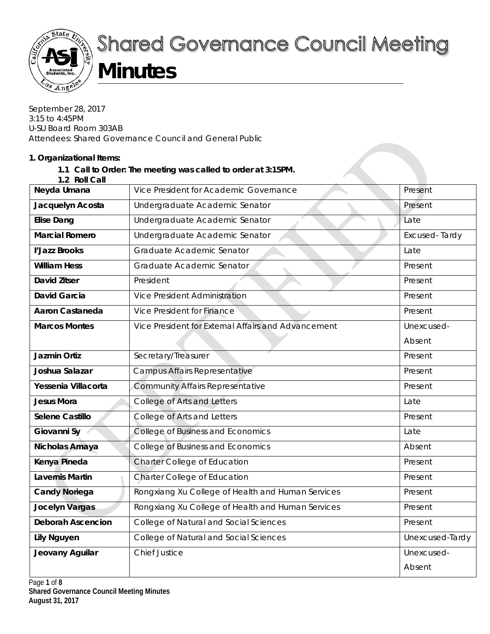

# **Shared Governance Council Meeting Minutes**

September 28, 2017 3:15 to 4:45PM U-SU Board Room 303AB Attendees: Shared Governance Council and General Public

### **1. Organizational Items:**

# **1.1 Call to Order: The meeting was called to order at 3:15PM.**

|  | 1.2 Roll Call |  |
|--|---------------|--|
|  |               |  |

| <b>1.4 NOT VAIL</b>      |                                                     |                 |
|--------------------------|-----------------------------------------------------|-----------------|
| Neyda Umana              | Vice President for Academic Governance              | Present         |
| Jacquelyn Acosta         | Undergraduate Academic Senator                      | Present         |
| <b>Elise Dang</b>        | Undergraduate Academic Senator                      | Late            |
| <b>Marcial Romero</b>    | Undergraduate Academic Senator                      | Excused-Tardy   |
| l'Jazz Brooks            | Graduate Academic Senator                           | Late            |
| <b>William Hess</b>      | Graduate Academic Senator                           | Present         |
| <b>David Zitser</b>      | President                                           | Present         |
| <b>David Garcia</b>      | <b>Vice President Administration</b>                | Present         |
| <b>Aaron Castaneda</b>   | Vice President for Finance                          | Present         |
| <b>Marcos Montes</b>     | Vice President for External Affairs and Advancement | Unexcused-      |
|                          |                                                     | Absent          |
| Jazmin Ortiz             | Secretary/Treasurer                                 | Present         |
| Joshua Salazar           | Campus Affairs Representative                       | Present         |
| Yessenia Villacorta      | <b>Community Affairs Representative</b>             | Present         |
| <b>Jesus Mora</b>        | College of Arts and Letters                         | Late            |
| Selene Castillo          | College of Arts and Letters                         | Present         |
| Giovanni Sy              | College of Business and Economics                   | Late            |
| Nicholas Amaya           | College of Business and Economics                   | Absent          |
| Kenya Pineda             | Charter College of Education                        | Present         |
| <b>Lavernis Martin</b>   | Charter College of Education                        | Present         |
| <b>Candy Noriega</b>     | Rongxiang Xu College of Health and Human Services   | Present         |
| Jocelyn Vargas           | Rongxiang Xu College of Health and Human Services   | Present         |
| <b>Deborah Ascencion</b> | College of Natural and Social Sciences              | Present         |
| <b>Lily Nguyen</b>       | College of Natural and Social Sciences              | Unexcused-Tardy |
| Jeovany Aguilar          | <b>Chief Justice</b>                                | Unexcused-      |
|                          |                                                     | Absent          |
|                          |                                                     |                 |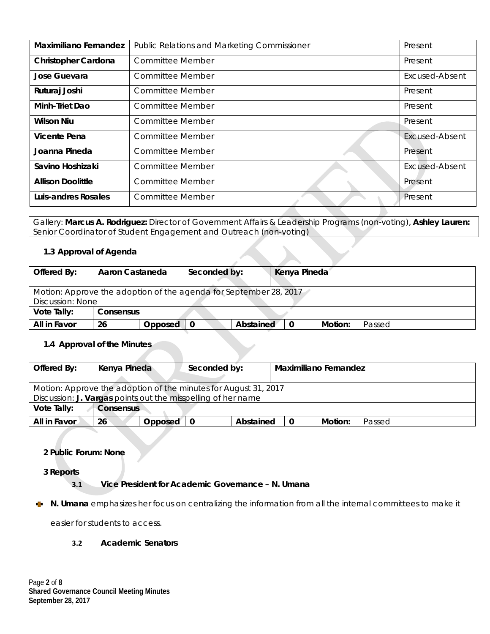| <b>Maximiliano Fernandez</b> | Public Relations and Marketing Commissioner | Present               |
|------------------------------|---------------------------------------------|-----------------------|
| Christopher Cardona          | <b>Committee Member</b>                     | Present               |
| Jose Guevara                 | Committee Member                            | Excused-Absent        |
| Ruturaj Joshi                | <b>Committee Member</b>                     | Present               |
| Minh-Triet Dao               | Committee Member                            | Present               |
| <b>Wilson Niu</b>            | Committee Member                            | Present               |
| Vicente Pena                 | <b>Committee Member</b>                     | <b>Excused-Absent</b> |
| Joanna Pineda                | Committee Member                            | Present               |
| Savino Hoshizaki             | <b>Committee Member</b>                     | Excused-Absent        |
| <b>Allison Doolittle</b>     | <b>Committee Member</b>                     | Present               |
| Luis-andres Rosales          | <b>Committee Member</b>                     | Present               |

Gallery: **Marcus A. Rodriguez:** Director of Government Affairs & Leadership Programs (non-voting), **Ashley Lauren:**  Senior Coordinator of Student Engagement and Outreach (non-voting)

#### **1.3 Approval of Agenda**

| Offered By:                                                                           | Aaron Castaneda |                | Seconded by: |           | Kenya Pineda |  |         |        |
|---------------------------------------------------------------------------------------|-----------------|----------------|--------------|-----------|--------------|--|---------|--------|
| Motion: Approve the adoption of the agenda for September 28, 2017<br>Discussion: None |                 |                |              |           |              |  |         |        |
| Vote Tally:<br>Consensus                                                              |                 |                |              |           |              |  |         |        |
| All in Favor                                                                          | 26              | <b>Opposed</b> |              | Abstained |              |  | Motion: | Passed |

#### **1.4 Approval of the Minutes**

| Offered By:                                                  | Kenya Pineda                                                    |         | Seconded by: |           | Maximiliano Fernandez |         |        |  |  |
|--------------------------------------------------------------|-----------------------------------------------------------------|---------|--------------|-----------|-----------------------|---------|--------|--|--|
|                                                              | Motion: Approve the adoption of the minutes for August 31, 2017 |         |              |           |                       |         |        |  |  |
| Discussion: J. Vargas points out the misspelling of her name |                                                                 |         |              |           |                       |         |        |  |  |
| Vote Tally:<br><b>Consensus</b>                              |                                                                 |         |              |           |                       |         |        |  |  |
| All in Favor                                                 | 26                                                              | Opposed |              | Abstained |                       | Motion: | Passed |  |  |

## **2 Public Forum: None**

**3 Reports** 

#### **3.1 Vice President for Academic Governance – N. Umana**

**N. Umana** emphasizes her focus on centralizing the information from all the internal committees to make it v.

easier for students to access.

#### **3.2 Academic Senators**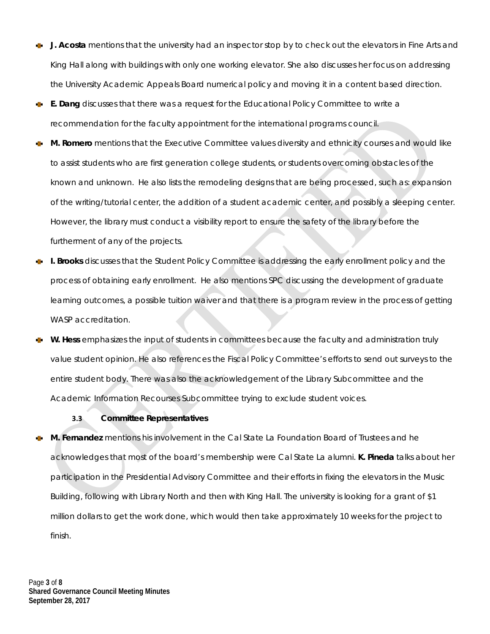- **J. Acosta** mentions that the university had an inspector stop by to check out the elevators in Fine Arts and ×. King Hall along with buildings with only one working elevator. She also discusses her focus on addressing the University Academic Appeals Board numerical policy and moving it in a content based direction.
- **E. Dang** discusses that there was a request for the Educational Policy Committee to write a d. recommendation for the faculty appointment for the international programs council.
- **M. Romero** mentions that the Executive Committee values diversity and ethnicity courses and would like to assist students who are first generation college students, or students overcoming obstacles of the known and unknown. He also lists the remodeling designs that are being processed, such as: expansion of the writing/tutorial center, the addition of a student academic center, and possibly a sleeping center. However, the library must conduct a visibility report to ensure the safety of the library before the furtherment of any of the projects.
- **I. Brooks** discusses that the Student Policy Committee is addressing the early enrollment policy and the process of obtaining early enrollment. He also mentions SPC discussing the development of graduate learning outcomes, a possible tuition waiver and that there is a program review in the process of getting WASP accreditation.
- **W. Hess** emphasizes the input of students in committees because the faculty and administration truly value student opinion. He also references the Fiscal Policy Committee's efforts to send out surveys to the entire student body. There was also the acknowledgement of the Library Subcommittee and the Academic Information Recourses Subcommittee trying to exclude student voices.

### **3.3 Committee Representatives**

**M. Fernandez** mentions his involvement in the Cal State La Foundation Board of Trustees and he acknowledges that most of the board's membership were Cal State La alumni. **K. Pineda** talks about her participation in the Presidential Advisory Committee and their efforts in fixing the elevators in the Music Building, following with Library North and then with King Hall. The university is looking for a grant of \$1 million dollars to get the work done, which would then take approximately 10 weeks for the project to finish.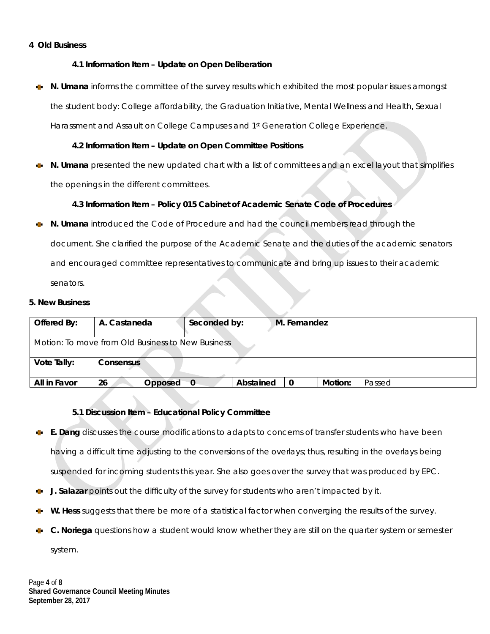#### **4 Old Business**

#### **4.1 Information Item – Update on Open Deliberation**

**N. Umana** informs the committee of the survey results which exhibited the most popular issues amongst the student body: College affordability, the Graduation Initiative, Mental Wellness and Health, Sexual Harassment and Assault on College Campuses and 1<sup>st</sup> Generation College Experience.

#### **4.2 Information Item – Update on Open Committee Positions**

**N. Umana** presented the new updated chart with a list of committees and an excel layout that simplifies the openings in the different committees.

#### **4.3 Information Item – Policy 015 Cabinet of Academic Senate Code of Procedures**

**N. Umana** introduced the Code of Procedure and had the council members read through the document. She clarified the purpose of the Academic Senate and the duties of the academic senators and encouraged committee representatives to communicate and bring up issues to their academic senators.

#### **5. New Business**

| Offered By:                                       | A. Castaneda     | Seconded by: |           | M. Fernandez |         |        |  |  |
|---------------------------------------------------|------------------|--------------|-----------|--------------|---------|--------|--|--|
| Motion: To move from Old Business to New Business |                  |              |           |              |         |        |  |  |
| Vote Tally:                                       | <b>Consensus</b> |              |           |              |         |        |  |  |
| All in Favor                                      | 26<br>Opposed    | 0            | Abstained | 0            | Motion: | Passed |  |  |

#### **5.1 Discussion Item – Educational Policy Committee**

- **E. Dang** discusses the course modifications to adapts to concerns of transfer students who have been having a difficult time adjusting to the conversions of the overlays; thus, resulting in the overlays being suspended for incoming students this year. She also goes over the survey that was produced by EPC.
- **J. Salazar** points out the difficulty of the survey for students who aren't impacted by it.
- **W. Hess** suggests that there be more of a statistical factor when converging the results of the survey.
- **C. Noriega** questions how a student would know whether they are still on the quarter system or semester system.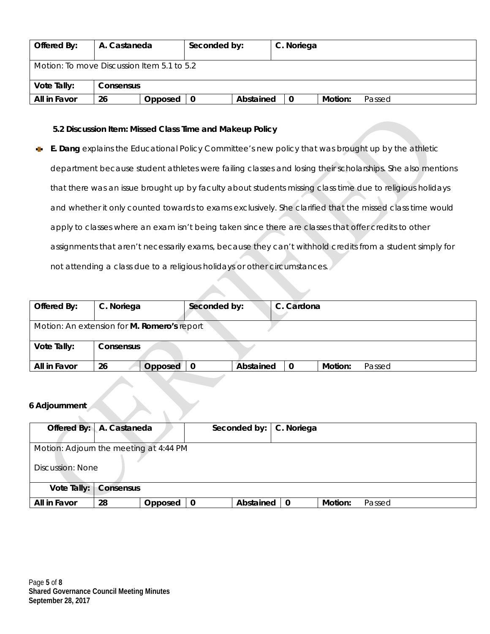| Offered By:  | A. Castaneda                               |         | Seconded by: |           | C. Noriega |         |        |  |  |
|--------------|--------------------------------------------|---------|--------------|-----------|------------|---------|--------|--|--|
|              | Motion: To move Discussion Item 5.1 to 5.2 |         |              |           |            |         |        |  |  |
| Vote Tally:  | <b>Consensus</b>                           |         |              |           |            |         |        |  |  |
| All in Favor | 26                                         | Opposed | 0            | Abstained | -0         | Motion: | Passed |  |  |

#### **5.2 Discussion Item: Missed Class Time and Makeup Policy**

**E. Dang** explains the Educational Policy Committee's new policy that was brought up by the athletic a. department because student athletes were failing classes and losing their scholarships. She also mentions that there was an issue brought up by faculty about students missing class time due to religious holidays and whether it only counted towards to exams exclusively. She clarified that the missed class time would apply to classes where an exam isn't being taken since there are classes that offer credits to other assignments that aren't necessarily exams, because they can't withhold credits from a student simply for not attending a class due to a religious holidays or other circumstances.

| Offered By:  | C. Noriega                                  | Seconded by: |           | C. Cardona |         |        |
|--------------|---------------------------------------------|--------------|-----------|------------|---------|--------|
|              | Motion: An extension for M. Romero's report |              |           |            |         |        |
| Vote Tally:  | <b>Consensus</b>                            |              |           |            |         |        |
| All in Favor | 26<br>Opposed                               |              | Abstained | 0          | Motion: | Passed |

#### **6 Adjournment**

| Offered By: A. Castaneda               |                  |         |  |           | Seconded by:   C. Noriega |         |        |  |  |
|----------------------------------------|------------------|---------|--|-----------|---------------------------|---------|--------|--|--|
| Motion: Adjourn the meeting at 4:44 PM |                  |         |  |           |                           |         |        |  |  |
|                                        | Discussion: None |         |  |           |                           |         |        |  |  |
| Vote Tally:<br>Consensus               |                  |         |  |           |                           |         |        |  |  |
| All in Favor                           | 28               | Opposed |  | Abstained | $\mathbf 0$               | Motion: | Passed |  |  |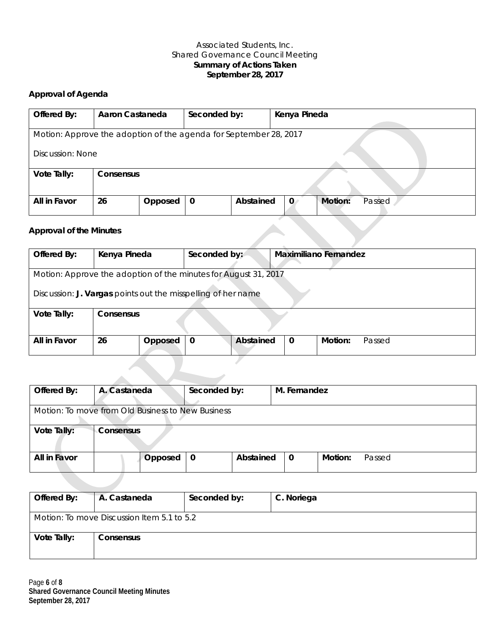#### Associated Students, Inc. Shared Governance Council Meeting **Summary of Actions Taken September 28, 2017**

# **Approval of Agenda**

| Offered By:                                                       | Aaron Castaneda  |         | Seconded by: |           | Kenya Pineda            |        |  |  |  |
|-------------------------------------------------------------------|------------------|---------|--------------|-----------|-------------------------|--------|--|--|--|
|                                                                   |                  |         |              |           |                         |        |  |  |  |
| Motion: Approve the adoption of the agenda for September 28, 2017 |                  |         |              |           |                         |        |  |  |  |
|                                                                   |                  |         |              |           |                         |        |  |  |  |
| Discussion: None                                                  |                  |         |              |           |                         |        |  |  |  |
|                                                                   |                  |         |              |           |                         |        |  |  |  |
| Vote Tally:                                                       | <b>Consensus</b> |         |              |           |                         |        |  |  |  |
|                                                                   |                  |         |              |           |                         |        |  |  |  |
|                                                                   |                  |         |              |           |                         |        |  |  |  |
| All in Favor                                                      | 26               | Opposed | 0            | Abstained | Motion:<br>$\mathbf{0}$ | Passed |  |  |  |
|                                                                   |                  |         |              |           |                         |        |  |  |  |

#### **Approval of the Minutes**

| Offered By:                                                  | Kenya Pineda                                                               | Seconded by: |  | <b>Maximiliano Fernandez</b> |  |  |  |  |  |  |
|--------------------------------------------------------------|----------------------------------------------------------------------------|--------------|--|------------------------------|--|--|--|--|--|--|
|                                                              |                                                                            |              |  |                              |  |  |  |  |  |  |
|                                                              | Motion: Approve the adoption of the minutes for August 31, 2017            |              |  |                              |  |  |  |  |  |  |
| Discussion: J. Vargas points out the misspelling of her name |                                                                            |              |  |                              |  |  |  |  |  |  |
| Vote Tally:                                                  | Consensus                                                                  |              |  |                              |  |  |  |  |  |  |
|                                                              |                                                                            |              |  |                              |  |  |  |  |  |  |
| All in Favor                                                 | Abstained<br>Motion:<br>26<br>Opposed<br>$\mathbf 0$<br>Passed<br>$\bf{0}$ |              |  |                              |  |  |  |  |  |  |
|                                                              |                                                                            |              |  |                              |  |  |  |  |  |  |

| Offered By:                                       | A. Castaneda | Seconded by: |           | M. Fernandez |         |        |  |  |
|---------------------------------------------------|--------------|--------------|-----------|--------------|---------|--------|--|--|
| Motion: To move from Old Business to New Business |              |              |           |              |         |        |  |  |
| Vote Tally:                                       | Consensus    |              |           |              |         |        |  |  |
| All in Favor                                      | Opposed      | $\mathbf{0}$ | Abstained | $\mathbf{0}$ | Motion: | Passed |  |  |
|                                                   |              |              |           |              |         |        |  |  |

| Offered By: | A. Castaneda                               | Seconded by: | C. Noriega |
|-------------|--------------------------------------------|--------------|------------|
|             | Motion: To move Discussion Item 5.1 to 5.2 |              |            |
| Vote Tally: | Consensus                                  |              |            |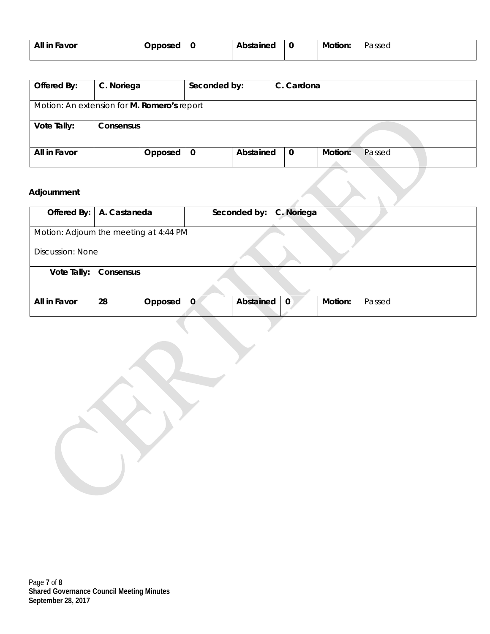| All in Favor | Doposed | υ | Abstained | ิเ | Motion: | Passea |
|--------------|---------|---|-----------|----|---------|--------|
|              |         |   |           |    |         |        |

| Offered By:  | C. Noriega                                  | Seconded by: |           | C. Cardona  |                   |
|--------------|---------------------------------------------|--------------|-----------|-------------|-------------------|
|              | Motion: An extension for M. Romero's report |              |           |             |                   |
| Vote Tally:  | Consensus                                   |              |           |             |                   |
| All in Favor | Opposed                                     | 0            | Abstained | $\mathbf 0$ | Motion:<br>Passed |

## **Adjournment**

| Offered By:   A. Castaneda |                                        |         |          | Seconded by: | C. Noriega  |                   |  |  |
|----------------------------|----------------------------------------|---------|----------|--------------|-------------|-------------------|--|--|
|                            | Motion: Adjourn the meeting at 4:44 PM |         |          |              |             |                   |  |  |
|                            | <b>Discussion: None</b>                |         |          |              |             |                   |  |  |
| Vote Tally:                | Consensus                              |         |          |              |             |                   |  |  |
|                            |                                        |         |          |              |             |                   |  |  |
| All in Favor               | 28                                     | Opposed | $\Omega$ | Abstained    | $\mathbf 0$ | Motion:<br>Passed |  |  |
|                            |                                        |         |          |              |             |                   |  |  |